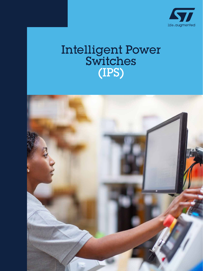

### Intelligent Power Switches (IPS)

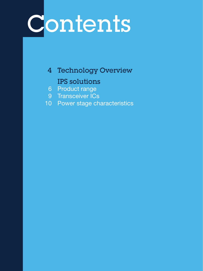# Contents

4 Technology Overview IPS solutions

- 6 Product range
- 9 Transceiver ICs
- 10 Power stage characteristics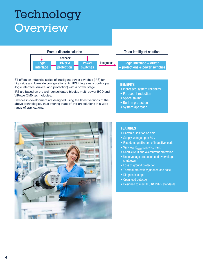### Technology **Overview**



ST offers an industrial series of intelligent power switches (IPS) for high-side and low-side configurations. An IPS integrates a control part (logic interface, drivers, and protection) with a power stage.

IPS are based on the well-consolidated bipolar, multi-power BCD and VIPower®M0 technologies.

Devices in development are designed using the latest versions of the above technologies, thus offering state-of-the-art solutions in a wide range of applications.

#### **BENEFITS**

- Increased system reliability
- Part count reduction
- Space saving
- Built-in protection
- System approach



#### FEATURES

- Galvanic isolation on chip
- Supply voltage up to 60 V
- Fast demagnetization of inductive loads
- Very low  $R_{DS(OM)}$  supply current
- Short-circuit and overcurrent protection
- Undervoltage protection and overvoltage shutdown
- Loss of ground protection
- Thermal protection: junction and case
- Diagnostic output
- Open load detection
- Designed to meet IEC 61131-2 standards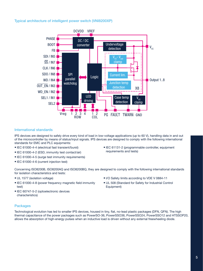#### Typical architecture of intelligent power switch (VNI8200XP)



#### International standards

IPS devices are designed to safely drive every kind of load in low-voltage applications (up to 60 V), handling data in and out of the microcontroller by means of status/input signals. IPS devices are designed to comply with the following international standards for EMC and PLC equipments:

- IEC 61000-4-4 (electrical fast transient/burst)
- IEC 61000-4-2 (ESD, immunity test contact/air)
- IEC 61000-4-5 (surge test immunity requirements)
- IEC 61000-4-6 (current injection test)

• IEC 61131-2 (programmable controller, equipment requirements and tests)

Concerning ISO8200B, ISO8200AQ and ISO8200BQ, they are designed to comply with the following international standards for isolation characteristics and tests:

Equipment)

- UL 1577 (isolation voltage)
- IEC 61000-4-8 (power frequency magnetic field immunity test)
- IEC 60747-5-2 (optoelectronic devices characteristics)

• I/O Safety limits according to VDE V 0884-11 • UL 508 (Standard for Safety for Industrial Control

#### **Packages**

Technological evolution has led to smaller IPS devices, housed in tiny, flat, no-lead plastic packages (DFN, QFN). The high thermal capacitance of the power packages such as PowerSO-36, PowerSSO36, PowerSSO24, PowerSSO12 and HTSSOP20, allows the absorption of high-energy pulses when an inductive load is driven without any external freewheeling diode.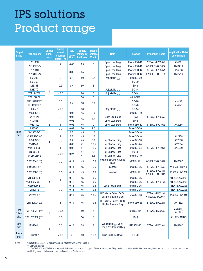## IPS solutions Product range

| <b>Output</b><br><b>Stage</b> | <b>Part number</b> | <b>Output</b><br>Chan-<br>nels | <b>Output</b><br>current /<br><b>Channel</b><br>$\overline{\text{(Inom)} }$ (A) | Typ.<br>$R_{DS(on)}$<br><b>Ohm</b> | <b>Supply</b><br>voltage (V)<br>AMR max. | <b>Supply</b><br>voltage<br>$(V)$ min. | <b>Note</b>                                                   | <b>Package</b>    | <b>Evaluation Board</b>             | <b>Application Note/</b><br><b>User Manual</b> |
|-------------------------------|--------------------|--------------------------------|---------------------------------------------------------------------------------|------------------------------------|------------------------------------------|----------------------------------------|---------------------------------------------------------------|-------------------|-------------------------------------|------------------------------------------------|
|                               | <b>IPS160H</b>     | 1                              | $\overline{2}$                                                                  | 0.06                               | 65                                       | 8                                      | Open Load Diag                                                | PowerSS0-12       | STEVAL-IFP028V1                     | AN4781                                         |
|                               | IPS160HF (*)       |                                |                                                                                 |                                    |                                          |                                        | Open Load Diag                                                | PowerSS0-12       | X-NUCLEO-OUT08A1                    | <b>UM2715</b>                                  |
|                               | <b>IPS161H</b>     |                                | 0.5                                                                             | 0.06                               | 65                                       | 8                                      | Open Load Diag                                                | PowerSS0-12       | STEVAL-IFP034V1                     | AN4998                                         |
|                               | IPS161HF (*)       |                                |                                                                                 |                                    |                                          |                                        | Open Load Diag                                                | PowerSS0-12       | X-NUCLEO-OUT10A1                    | <b>UM2716</b>                                  |
|                               | L6370D             |                                | $\overline{2}$                                                                  | 0.1                                | 50                                       | 9.5                                    | Adjustable I <sub>OUT</sub>                                   | PowerSO-20        |                                     |                                                |
|                               | L6375D             |                                | 0.5<br>< 0.5                                                                    | 0.4                                | 50                                       |                                        |                                                               | $S0$ -20          |                                     |                                                |
|                               | L6375S             |                                |                                                                                 |                                    |                                          | 8                                      |                                                               | $SO-8$            |                                     |                                                |
|                               | L6377D             |                                |                                                                                 |                                    |                                          |                                        | Adjustable I <sub>OUT</sub>                                   | $S0-14$           |                                     |                                                |
|                               | <b>TDE1747FP</b>   |                                |                                                                                 |                                    | 60                                       | 8                                      | Adjustable I <sub>out</sub>                                   | $S0-14$           |                                     |                                                |
|                               | <b>TDE1798DP</b>   |                                | 0.5<br>< 0.5                                                                    |                                    | 50                                       | 6                                      |                                                               | mini-DIP8         |                                     |                                                |
|                               | TDE1897RFPT        |                                |                                                                                 | 0.4                                | 50                                       | 18                                     |                                                               | $S0$ -20          |                                     | AN453                                          |
|                               | <b>TDE1898CFP</b>  |                                |                                                                                 |                                    |                                          |                                        |                                                               | $S0$ -20          |                                     | AN453                                          |
|                               | <b>TDE3247FP</b>   |                                |                                                                                 |                                    | 36                                       | 8                                      | Adjustable I <sub>out</sub>                                   | $S0-14$           |                                     |                                                |
|                               | <b>VN540SP-E</b>   |                                |                                                                                 | 0.05                               | 45                                       | 10                                     |                                                               | PowerSO-10        |                                     |                                                |
|                               | <b>VN751PT</b>     |                                | $\overline{2}$                                                                  | 0.06                               | 45                                       | 5.5                                    | Open Load Diag                                                | <b>PPAK</b>       | STEVAL-IFP005V2                     |                                                |
|                               | <b>VN751S</b>      |                                |                                                                                 | 0.06                               |                                          |                                        | Open Load Diag                                                | $SO-8$            |                                     |                                                |
|                               | <b>VNI2140J</b>    | $\overline{2}$                 | 1                                                                               | 0.06                               | 45                                       | 9                                      | Open Load Diag                                                | PowerSS0-12       | STEVAL-IFP010V3                     | AN2985                                         |
|                               | L6376D             |                                | 0.5                                                                             | 0.64                               | 50                                       | 9.5                                    |                                                               | PowerSO-20        |                                     |                                                |
| High-                         | <b>VN330SP-E</b>   |                                |                                                                                 | 0.2                                | 45                                       | 10                                     |                                                               | PowerSO-10        |                                     |                                                |
| side                          | VN340SP-33-E       | 4                              | 1                                                                               | 0.2                                | 45                                       | 10                                     |                                                               | PowerS0-10        |                                     | AN2208                                         |
|                               | <b>VN340SP-E</b>   |                                | 0.5                                                                             | 0.2                                | 45                                       | 10                                     | Per Channel Diag                                              | PowerSO-10        |                                     | AN2208                                         |
|                               | <b>VNI4140K</b>    |                                |                                                                                 | 0.08                               | 41                                       | 10.5                                   | Per Channel Diag                                              | PowerSO-24        |                                     | AN2684                                         |
|                               | VNI4140K-32        |                                | 1                                                                               | 0.08                               | 41                                       | 10.5                                   | Per Channel Diag                                              | PowerSO-24        | STEVAL-IFP019V1                     | AN4009                                         |
|                               | <b>VNQ860-E</b>    |                                | < 0.5                                                                           | 0.27                               | 41                                       | 5.5                                    | Per Channel Diag                                              | $S0$ -20          |                                     |                                                |
|                               | VNQ860SP-E         |                                |                                                                                 |                                    | 41                                       | 5.5                                    | Per Channel Diag                                              | PowerSO-10        |                                     |                                                |
|                               | IS08200AQ (**)     | 8                              | 0.5                                                                             | 0.11                               | 45                                       | 10.5                                   | Isolated, SPI, Per Channel<br>Diag                            | <b>QFN 9x11</b>   | X-NUCLEO-OUT02A1                    | <b>UM2507</b>                                  |
|                               | ISO8200B (**)      |                                |                                                                                 | 0.11                               | 45                                       | 10.5                                   | Isolated                                                      | PowerSO-36        | STEVAL-IFP015V2                     | AN4373, UM2209                                 |
|                               | ISO8200BQ (**)     |                                | 0.5                                                                             | 0.11                               | 45                                       | 10.5                                   | <b>Isolated</b>                                               | <b>QFN 9x11</b>   | STEVAL-IFP033V1<br>X-NUCLEO-OUT01A1 | AN4373, UM2209                                 |
|                               | VN808-32-E         |                                | 1                                                                               | 0.15                               | 45                                       | 10.5                                   |                                                               | PowerSO-36        |                                     | AN2443, AN2208                                 |
|                               | VN808CM-32-E       |                                |                                                                                 | 0.16                               | 45                                       | 10.5                                   |                                                               | PowerSO-36        | STEVAL-IFP001V1                     | AN2443, AN2208                                 |
|                               | <b>VN808CM-E</b>   |                                |                                                                                 | 0.16                               | 45                                       | 10.5                                   | Logic level Inputs                                            | PowerSO-36        |                                     | AN2443, AN2208                                 |
|                               | <b>VN808-E</b>     |                                | 0.5                                                                             | 0.15                               | 45                                       | 10.5                                   |                                                               | PowerSO-36        |                                     | AN2443, AN2208                                 |
|                               | <b>VNI8200XP</b>   |                                |                                                                                 | 0.11                               | 45                                       | 10.5                                   | LED Matrix Driver, DCDC,<br>SPI, Per Channel Diag             | PowerSO-36        | STEVAL-IFP022V1<br>X-NUCLEO-PLC01A1 | AN4284, UM1918                                 |
|                               | VNI8200XP-32       |                                | 1                                                                               | 0.11                               | 45                                       | 10.5                                   | LED Matrix Driver, DCDC,<br>SPI. Per Channel Diag             | PowerSS0-36       | STEVAL-IFP032V1                     | AN4862                                         |
| High<br>& Low<br>side         | TDE1708DFT (***)   | 1                              | < 0.5                                                                           |                                    | 50                                       | 6                                      |                                                               | <b>DFN 8L 4x4</b> | STEVAL-IFS006V2                     | AN2679,<br>AN2813                              |
|                               | TDE1707BFP (***)   |                                | 0.5                                                                             |                                    | 50                                       | 6                                      |                                                               | $SO-8$            |                                     | AN1213, AN495                                  |
| Low<br>side                   | <b>IPS4260L</b>    | 4                              | 0.5                                                                             | 0.26                               | 55                                       | 8                                      | Adjustable I <sub>our</sub> , Open<br>Load / Per Channel Diag | HTSSOP-20         | STEVAL-IFP029V1                     | <b>UM2297</b>                                  |
| Push-<br>Pull                 | L6374FP            |                                | < 0.5                                                                           | 4                                  | 50                                       | 10.8                                   | <b>Push-Pull Line Driver</b>                                  | $S0-20$           |                                     |                                                |

Notes : (\*) Satisfy SIL applications requirements for interface type C (or D) Class 3

(\*\*) Galvanic Isolated

(\*\*\*) The TDE1707 and TDE1708 are specific IPS developed to match all types of industrial detectors. They can be coupled with inductive, capacitive, ultra-sonic or optical detectors and can be used in high-side or in low-side driver configuration in 3-wire networks.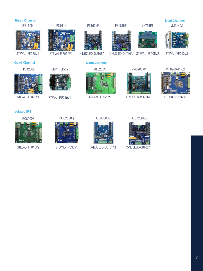#### ISO8200B X-NUCLEO-OUT08A1 X-NUCLEO-OUT10A1 STEVAL-IFP005V2 STEVAL-IFP010V3 IPS160HF IPS161HF VN751PT VNI2140J STEVAL-IFP028V1 IPS160H ISO8200BQ IPS161H STEVAL-IFP034V1 IPS4260L ISO8200AQ STEVAL-IFP029V1 ISO8200BQ VNI8200XP STEVAL-IFP019V1 STEVAL-IFP022V1 VNI4140K-32 VNI8200XP X-NUCLEO-PLC01A1 VNI8200XP -32 STEVAL-IFP032V1 Quad Channel Single Channel Octal Channel Dual Channel Isolated IPS



STEVAL-IFP015V2



STEVAL-IFP033V1



```
X-NUCLEO-OUT01A1
```


X-NUCLEO-OUT02A1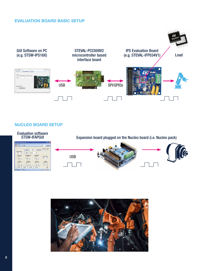#### EVALUATION BOARD BASIC SETUP



#### NUCLEO BOARD SETUP



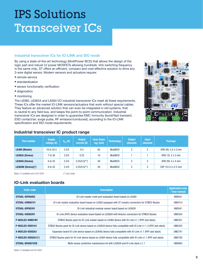### IPS Solutions Transceiver ICs

#### Industrial transceiver ICs for IO-LINK and SIO mode

By using a state-of-the-art technology (MultiPower BCD) that allows the design of the logic part and robust LV power MOSFETs allowing hundreds kHz switching frequency in the same chip, ST offers an efficient, compact and cost-effective solution to drive any 3-wire digital sensor. Modern sensors and actuators require:

- remote service
- standardization
- sensor functionality verification
- diagnostics
- monitoring

The L6360, L6362A and L6364 I/O industrial transceiver ICs meet all these requirements. These ICs offer the market IO-LINK sensors/actuators that work without special cables. They feature an advanced solution that can even be integrated in old systems, that is neutral to any field bus, and keeps the point-to-point communication. Industrial transceiver ICs are designed in order to guarantee EMC immunity (burst/fast transient, ESD contact/air, surge pulse, RF emission/conduced), according to the IO-LINK specification and SIO mode requirements.



#### Industrial transceiver IC product range

| Part number             | <b>Supply</b><br>voltage (V) | $\overline{\mathsf{V}_{_{DD}}}\left(\mathsf{V}\right)^\mathsf{T}$ | <b>Output</b><br>current (A) | <b>Imax linear</b><br>$reg.$ (mA) | <b>Technology</b> | <b>Output</b><br>channels | <b>Input</b><br><b>channels</b> | <b>Package</b>          |
|-------------------------|------------------------------|-------------------------------------------------------------------|------------------------------|-----------------------------------|-------------------|---------------------------|---------------------------------|-------------------------|
| L6360 (Master)          | 18 to 32.5                   | 3.3/5                                                             | 0.5                          | 65                                | <b>MultiBCD</b>   | o                         | ∩                               | QFN 26L 3.5 x 5 mm      |
| L6362A (Device)         | 7 to 36                      | 3.3/5                                                             | 0.22                         | 10                                | <b>MultiBCD</b>   |                           |                                 | DFN 12L $3 \times 3$ mm |
| L6364Q (Device)         | 6 to 35                      | 3.3/5                                                             | $0.25/0.5$ <sup>**</sup> )   | 50                                | <b>MultiBCD</b>   | 2                         | ∩                               | <b>QFN 20L 4 x 4 mm</b> |
| $L6364W$ (Device) $(*)$ | 6 to 35                      | 3.3/5                                                             | $0.25/0.5$ <sup>**</sup> )   | 50                                | <b>MultiBCD</b>   | ŋ                         | ŋ                               | CSP 19 2.5 x 2.5 mm     |

Notes: (\*) available end of Q4 2020 (\*\*) join mode

#### IO-Link evaluation boards

| Order code          | <b>Description</b>                                                                                               | <b>Application note</b><br>/ User manual |
|---------------------|------------------------------------------------------------------------------------------------------------------|------------------------------------------|
| STEVAL-IDP004V2     | 10-Link master multi-port evaluation board based on L6360                                                        | AN5041                                   |
| STEVAL-IOM001V1     | IO-Link master evaluation board based on L6360 equipped with ST morpho connectors for STM32 Nucleo               | <b>UM2414</b>                            |
| STEVAL-IDP003V1     | 10-Link industrial modular sensor board based on L6362A                                                          | AN5041                                   |
| STEVAL-IOD003V1     | IO-Link (PHY) device evaluation board based on L6362A with Arduino connectors for STM32 Nucleo                   | <b>UM2424</b>                            |
| P-NUCLEO-IOM01M1    | STM32 Nucleo pack for IO-Link master based on L6360 device with IO-Link v1.1 (PHY and stack)                     | UM2421                                   |
| P-NUCLEO-IOD01A1    | STM32 Nucleo pack for IO-Link device based on L6362A device fully compatible with IO-Link v1.1.3 (PHY and stack) | UM2425                                   |
| X-NUCLEO-IOD02A1    | Expansion board IO-Link device based on L6364Q device fully compatible with IO-Link v1.1 (PHY and stack)         | UM2741                                   |
| P-NUCLEO-IOD02A1(*) | STM32 Nucleo pack for IO-Link device based on L6364 device fully compatible with IO-Link v1.1 (PHY and stack)    | <b>UM2782</b>                            |
| STEVAL-BFA001V2B    | Multi-sensor predictive maintenance kit with L6362A and IO-Link stack v.1.1                                      | UM2663                                   |

Notes: (\*) Available end Q4 2020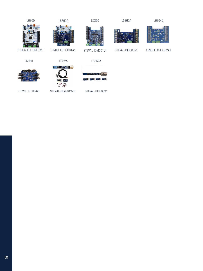

STEVAL-IDP004V2

STEVAL-BFA001V2B STEVAL-IDP003V1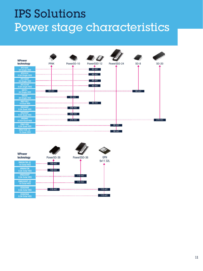### IPS Solutions Power stage characteristics